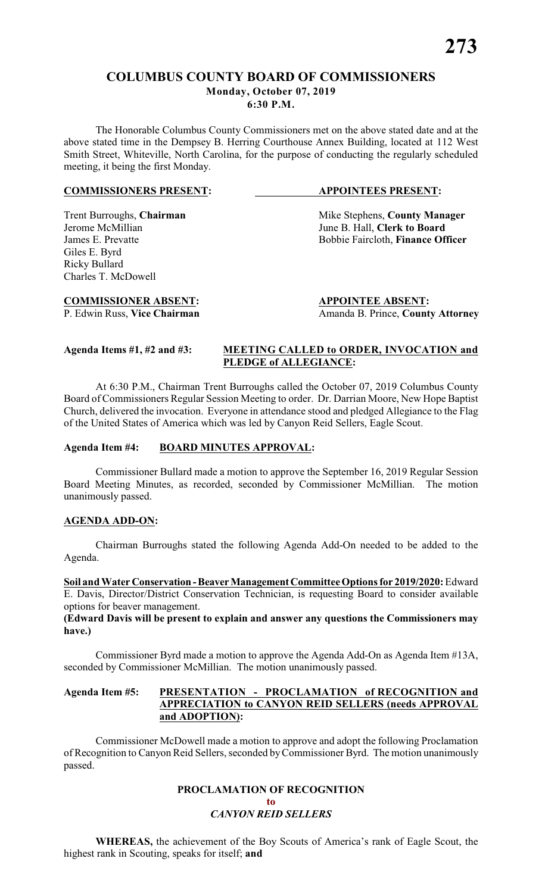# **COLUMBUS COUNTY BOARD OF COMMISSIONERS Monday, October 07, 2019 6:30 P.M.**

The Honorable Columbus County Commissioners met on the above stated date and at the above stated time in the Dempsey B. Herring Courthouse Annex Building, located at 112 West Smith Street, Whiteville, North Carolina, for the purpose of conducting the regularly scheduled meeting, it being the first Monday.

#### **COMMISSIONERS PRESENT: APPOINTEES PRESENT:**

# Giles E. Byrd Ricky Bullard Charles T. McDowell

# **COMMISSIONER ABSENT: APPOINTEE ABSENT:**

Trent Burroughs, **Chairman** Mike Stephens, **County Manager** *Jerome McMillian June B. Hall.* **Clerk to Board** June B. Hall, **Clerk to Board** James E. Prevatte **Bobbie Faircloth**, **Finance Officer** 

P. Edwin Russ, Vice Chairman Amanda B. Prince, County Attorney

#### **Agenda Items #1, #2 and #3: MEETING CALLED to ORDER, INVOCATION and PLEDGE of ALLEGIANCE:**

At 6:30 P.M., Chairman Trent Burroughs called the October 07, 2019 Columbus County Board of Commissioners Regular Session Meeting to order. Dr. Darrian Moore, New Hope Baptist Church, delivered the invocation. Everyone in attendance stood and pledged Allegiance to the Flag of the United States of America which was led by Canyon Reid Sellers, Eagle Scout.

# **Agenda Item #4: BOARD MINUTES APPROVAL:**

Commissioner Bullard made a motion to approve the September 16, 2019 Regular Session Board Meeting Minutes, as recorded, seconded by Commissioner McMillian. The motion unanimously passed.

# **AGENDA ADD-ON:**

Chairman Burroughs stated the following Agenda Add-On needed to be added to the Agenda.

**Soil and Water Conservation - Beaver Management Committee Options for 2019/2020:** Edward E. Davis, Director/District Conservation Technician, is requesting Board to consider available options for beaver management.

**(Edward Davis will be present to explain and answer any questions the Commissioners may have.)**

Commissioner Byrd made a motion to approve the Agenda Add-On as Agenda Item #13A, seconded by Commissioner McMillian. The motion unanimously passed.

# **Agenda Item #5: PRESENTATION - PROCLAMATION of RECOGNITION and APPRECIATION to CANYON REID SELLERS (needs APPROVAL and ADOPTION):**

Commissioner McDowell made a motion to approve and adopt the following Proclamation of Recognition to Canyon Reid Sellers, seconded byCommissioner Byrd. The motion unanimously passed.

# **PROCLAMATION OF RECOGNITION**

**to**

**WHEREAS,** the achievement of the Boy Scouts of America's rank of Eagle Scout, the highest rank in Scouting, speaks for itself; **and**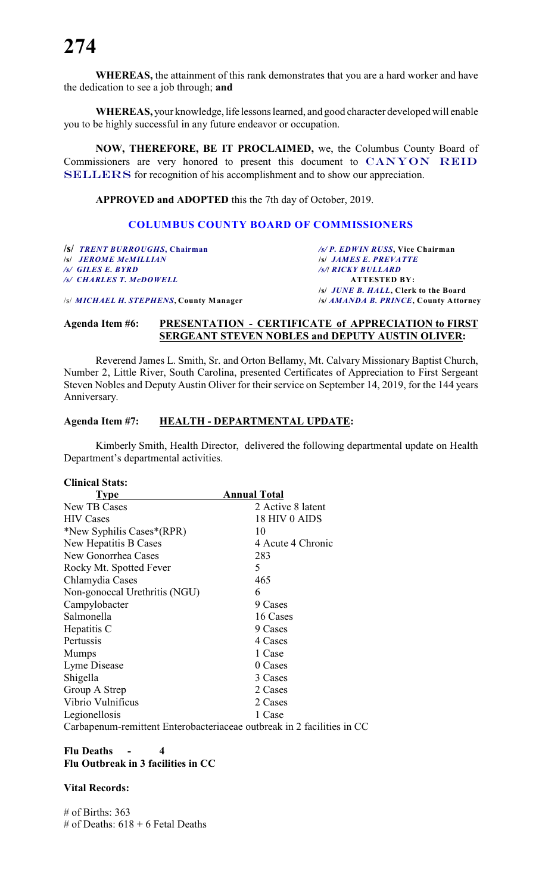# **274**

**WHEREAS,** the attainment of this rank demonstrates that you are a hard worker and have the dedication to see a job through; **and**

**WHEREAS,** your knowledge, life lessons learned, and good character developed will enable you to be highly successful in any future endeavor or occupation.

**NOW, THEREFORE, BE IT PROCLAIMED,** we, the Columbus County Board of Commissioners are very honored to present this document to *CANYON REID SELLERS* for recognition of his accomplishment and to show our appreciation.

**APPROVED and ADOPTED** this the 7th day of October, 2019.

### **COLUMBUS COUNTY BOARD OF COMMISSIONERS**

**/s/** *TRENT BURROUGHS***, Chairman** */s/ P. EDWIN RUSS***, Vice Chairman /s/** *JEROME McMILLIAN /s/ GILES E. BYRD**/s/***/** *RICKY BULLARD /s/ CHARLES T. McDOWELL* **ATTESTED BY:**

**/s/** *JUNE B. HALL***, Clerk to the Board** /s/ *MICHAEL H. STEPHENS***, County Manager /s/** *AMANDA B. PRINCE***, County Attorney**

#### **Agenda Item #6: PRESENTATION - CERTIFICATE of APPRECIATION to FIRST SERGEANT STEVEN NOBLES and DEPUTY AUSTIN OLIVER:**

Reverend James L. Smith, Sr. and Orton Bellamy, Mt. Calvary Missionary Baptist Church, Number 2, Little River, South Carolina, presented Certificates of Appreciation to First Sergeant Steven Nobles and Deputy Austin Oliver for their service on September 14, 2019, for the 144 years Anniversary.

#### **Agenda Item #7: HEALTH - DEPARTMENTAL UPDATE:**

Kimberly Smith, Health Director, delivered the following departmental update on Health Department's departmental activities.

#### **Clinical Stats:**

| <b>Type</b>                                                         | <b>Annual Total</b> |
|---------------------------------------------------------------------|---------------------|
| New TB Cases                                                        | 2 Active 8 latent   |
| <b>HIV Cases</b>                                                    | 18 HIV 0 AIDS       |
| *New Syphilis Cases*(RPR)                                           | 10                  |
| New Hepatitis B Cases                                               | 4 Acute 4 Chronic   |
| New Gonorrhea Cases                                                 | 283                 |
| Rocky Mt. Spotted Fever                                             | 5                   |
| Chlamydia Cases                                                     | 465                 |
| Non-gonoccal Urethritis (NGU)                                       | 6                   |
| Campylobacter                                                       | 9 Cases             |
| Salmonella                                                          | 16 Cases            |
| Hepatitis C                                                         | 9 Cases             |
| Pertussis                                                           | 4 Cases             |
| <b>Mumps</b>                                                        | 1 Case              |
| Lyme Disease                                                        | 0 Cases             |
| Shigella                                                            | 3 Cases             |
| Group A Strep                                                       | 2 Cases             |
| Vibrio Vulnificus                                                   | 2 Cases             |
| Legionellosis                                                       | 1 Case              |
| Carbanenum-remittent Enterobacteriaceae outbreak in 2 facilities in |                     |

Carbapenum-remittent Enterobacteriaceae outbreak in 2 facilities in CC

# **Flu Deaths - 4 Flu Outbreak in 3 facilities in CC**

#### **Vital Records:**

 $#$  of Births: 363 # of Deaths:  $618 + 6$  Fetal Deaths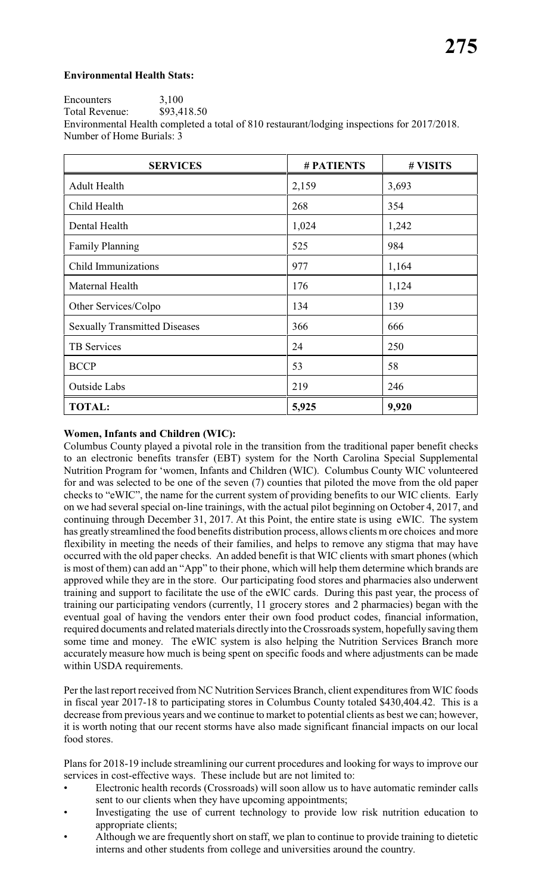# **Environmental Health Stats:**

Encounters 3,100<br>Total Revenue: \$93,418.50 Total Revenue: Environmental Health completed a total of 810 restaurant/lodging inspections for 2017/2018. Number of Home Burials: 3

| <b>SERVICES</b>                      | <b>#PATIENTS</b> | # VISITS |
|--------------------------------------|------------------|----------|
| <b>Adult Health</b>                  | 2,159            | 3,693    |
| Child Health                         | 268              | 354      |
| Dental Health                        | 1,024            | 1,242    |
| <b>Family Planning</b>               | 525              | 984      |
| Child Immunizations                  | 977              | 1,164    |
| Maternal Health                      | 176              | 1,124    |
| Other Services/Colpo                 | 134              | 139      |
| <b>Sexually Transmitted Diseases</b> | 366              | 666      |
| <b>TB</b> Services                   | 24               | 250      |
| <b>BCCP</b>                          | 53               | 58       |
| Outside Labs                         | 219              | 246      |
| <b>TOTAL:</b>                        | 5,925            | 9,920    |

# **Women, Infants and Children (WIC):**

Columbus County played a pivotal role in the transition from the traditional paper benefit checks to an electronic benefits transfer (EBT) system for the North Carolina Special Supplemental Nutrition Program for 'women, Infants and Children (WIC). Columbus County WIC volunteered for and was selected to be one of the seven (7) counties that piloted the move from the old paper checks to "eWIC", the name for the current system of providing benefits to our WIC clients. Early on we had several special on-line trainings, with the actual pilot beginning on October 4, 2017, and continuing through December 31, 2017. At this Point, the entire state is using eWIC. The system has greatly streamlined the food benefits distribution process, allows clients m ore choices and more flexibility in meeting the needs of their families, and helps to remove any stigma that may have occurred with the old paper checks. An added benefit is that WIC clients with smart phones (which is most of them) can add an "App" to their phone, which will help them determine which brands are approved while they are in the store. Our participating food stores and pharmacies also underwent training and support to facilitate the use of the eWIC cards. During this past year, the process of training our participating vendors (currently, 11 grocery stores and 2 pharmacies) began with the eventual goal of having the vendors enter their own food product codes, financial information, required documents and related materials directly into the Crossroads system, hopefullysaving them some time and money. The eWIC system is also helping the Nutrition Services Branch more accurately measure how much is being spent on specific foods and where adjustments can be made within USDA requirements.

Per the last report received from NC Nutrition Services Branch, client expenditures from WIC foods in fiscal year 2017-18 to participating stores in Columbus County totaled \$430,404.42. This is a decrease from previous years and we continue to market to potential clients as best we can; however, it is worth noting that our recent storms have also made significant financial impacts on our local food stores.

Plans for 2018-19 include streamlining our current procedures and looking for ways to improve our services in cost-effective ways. These include but are not limited to:

- Electronic health records (Crossroads) will soon allow us to have automatic reminder calls sent to our clients when they have upcoming appointments;
- Investigating the use of current technology to provide low risk nutrition education to appropriate clients;
- Although we are frequently short on staff, we plan to continue to provide training to dietetic interns and other students from college and universities around the country.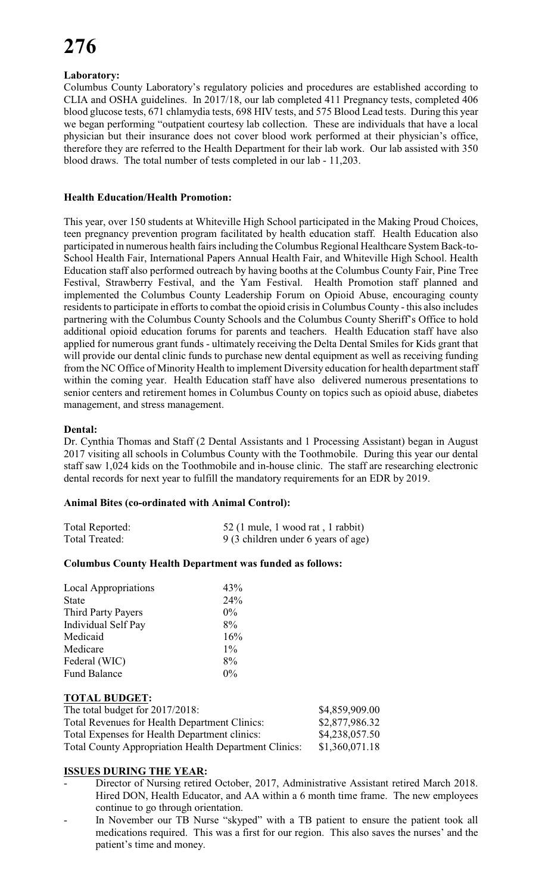# **Laboratory:**

Columbus County Laboratory's regulatory policies and procedures are established according to CLIA and OSHA guidelines. In 2017/18, our lab completed 411 Pregnancy tests, completed 406 blood glucose tests, 671 chlamydia tests, 698 HIV tests, and 575 Blood Lead tests. During this year we began performing "outpatient courtesy lab collection. These are individuals that have a local physician but their insurance does not cover blood work performed at their physician's office, therefore they are referred to the Health Department for their lab work. Our lab assisted with 350 blood draws. The total number of tests completed in our lab - 11,203.

## **Health Education/Health Promotion:**

This year, over 150 students at Whiteville High School participated in the Making Proud Choices, teen pregnancy prevention program facilitated by health education staff. Health Education also participated in numerous health fairs including the Columbus Regional Healthcare System Back-to-School Health Fair, International Papers Annual Health Fair, and Whiteville High School. Health Education staff also performed outreach by having booths at the Columbus County Fair, Pine Tree Festival, Strawberry Festival, and the Yam Festival. Health Promotion staff planned and implemented the Columbus County Leadership Forum on Opioid Abuse, encouraging county residents to participate in efforts to combat the opioid crisis in Columbus County - this also includes partnering with the Columbus County Schools and the Columbus County Sheriff's Office to hold additional opioid education forums for parents and teachers. Health Education staff have also applied for numerous grant funds - ultimately receiving the Delta Dental Smiles for Kids grant that will provide our dental clinic funds to purchase new dental equipment as well as receiving funding from the NC Office of Minority Health to implement Diversity education for health department staff within the coming year. Health Education staff have also delivered numerous presentations to senior centers and retirement homes in Columbus County on topics such as opioid abuse, diabetes management, and stress management.

#### **Dental:**

Dr. Cynthia Thomas and Staff (2 Dental Assistants and 1 Processing Assistant) began in August 2017 visiting all schools in Columbus County with the Toothmobile. During this year our dental staff saw 1,024 kids on the Toothmobile and in-house clinic. The staff are researching electronic dental records for next year to fulfill the mandatory requirements for an EDR by 2019.

#### **Animal Bites (co-ordinated with Animal Control):**

| Total Reported: | 52 (1 mule, 1 wood rat, 1 rabbit)   |
|-----------------|-------------------------------------|
| Total Treated:  | 9 (3 children under 6 years of age) |

#### **Columbus County Health Department was funded as follows:**

| <b>Local Appropriations</b> | 43%   |
|-----------------------------|-------|
| <b>State</b>                | 24%   |
| Third Party Payers          | $0\%$ |
| <b>Individual Self Pay</b>  | 8%    |
| Medicaid                    | 16%   |
| Medicare                    | $1\%$ |
| Federal (WIC)               | 8%    |
| <b>Fund Balance</b>         | $0\%$ |
|                             |       |

#### **TOTAL BUDGET:**

| The total budget for 2017/2018:                              | \$4,859,909.00 |
|--------------------------------------------------------------|----------------|
| <b>Total Revenues for Health Department Clinics:</b>         | \$2,877,986.32 |
| Total Expenses for Health Department clinics:                | \$4,238,057.50 |
| <b>Total County Appropriation Health Department Clinics:</b> | \$1,360,071.18 |

# **ISSUES DURING THE YEAR:**

- Director of Nursing retired October, 2017, Administrative Assistant retired March 2018. Hired DON, Health Educator, and AA within a 6 month time frame. The new employees continue to go through orientation.
- In November our TB Nurse "skyped" with a TB patient to ensure the patient took all medications required. This was a first for our region. This also saves the nurses' and the patient's time and money.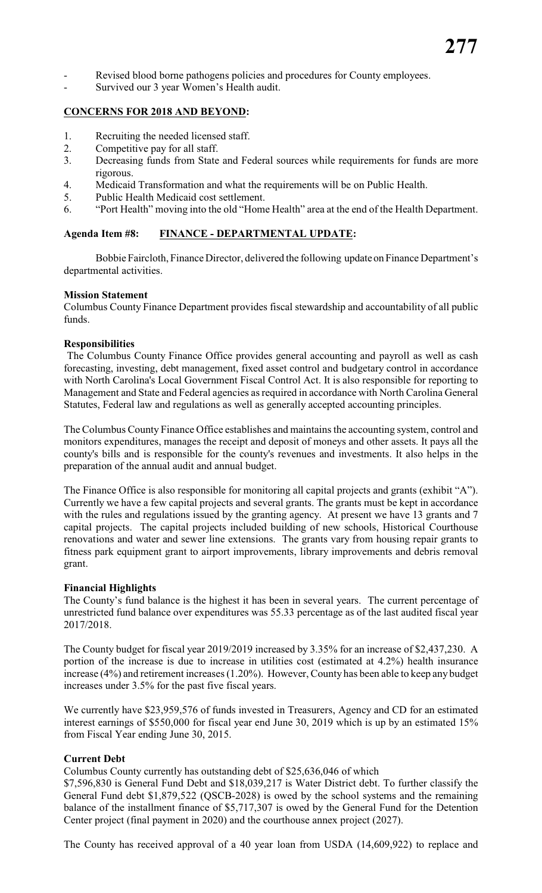- Revised blood borne pathogens policies and procedures for County employees.
- Survived our 3 year Women's Health audit.

#### **CONCERNS FOR 2018 AND BEYOND:**

- 1. Recruiting the needed licensed staff.
- 2. Competitive pay for all staff.
- 3. Decreasing funds from State and Federal sources while requirements for funds are more rigorous.
- 4. Medicaid Transformation and what the requirements will be on Public Health.
- 5. Public Health Medicaid cost settlement.
- 6. "Port Health" moving into the old "Home Health" area at the end of the Health Department.

#### **Agenda Item #8: FINANCE - DEPARTMENTAL UPDATE:**

Bobbie Faircloth, Finance Director, delivered the following update on Finance Department's departmental activities.

#### **Mission Statement**

Columbus County Finance Department provides fiscal stewardship and accountability of all public funds.

#### **Responsibilities**

 The Columbus County Finance Office provides general accounting and payroll as well as cash forecasting, investing, debt management, fixed asset control and budgetary control in accordance with North Carolina's Local Government Fiscal Control Act. It is also responsible for reporting to Management and State and Federal agencies as required in accordance with North Carolina General Statutes, Federal law and regulations as well as generally accepted accounting principles.

The Columbus County Finance Office establishes and maintains the accounting system, control and monitors expenditures, manages the receipt and deposit of moneys and other assets. It pays all the county's bills and is responsible for the county's revenues and investments. It also helps in the preparation of the annual audit and annual budget.

The Finance Office is also responsible for monitoring all capital projects and grants (exhibit "A"). Currently we have a few capital projects and several grants. The grants must be kept in accordance with the rules and regulations issued by the granting agency. At present we have 13 grants and 7 capital projects. The capital projects included building of new schools, Historical Courthouse renovations and water and sewer line extensions. The grants vary from housing repair grants to fitness park equipment grant to airport improvements, library improvements and debris removal grant.

#### **Financial Highlights**

The County's fund balance is the highest it has been in several years. The current percentage of unrestricted fund balance over expenditures was 55.33 percentage as of the last audited fiscal year 2017/2018.

The County budget for fiscal year 2019/2019 increased by 3.35% for an increase of \$2,437,230. A portion of the increase is due to increase in utilities cost (estimated at 4.2%) health insurance increase (4%) and retirement increases (1.20%). However, County has been able to keep any budget increases under 3.5% for the past five fiscal years.

We currently have \$23,959,576 of funds invested in Treasurers, Agency and CD for an estimated interest earnings of \$550,000 for fiscal year end June 30, 2019 which is up by an estimated 15% from Fiscal Year ending June 30, 2015.

#### **Current Debt**

Columbus County currently has outstanding debt of \$25,636,046 of which

\$7,596,830 is General Fund Debt and \$18,039,217 is Water District debt. To further classify the General Fund debt \$1,879,522 (QSCB-2028) is owed by the school systems and the remaining balance of the installment finance of \$5,717,307 is owed by the General Fund for the Detention Center project (final payment in 2020) and the courthouse annex project (2027).

The County has received approval of a 40 year loan from USDA (14,609,922) to replace and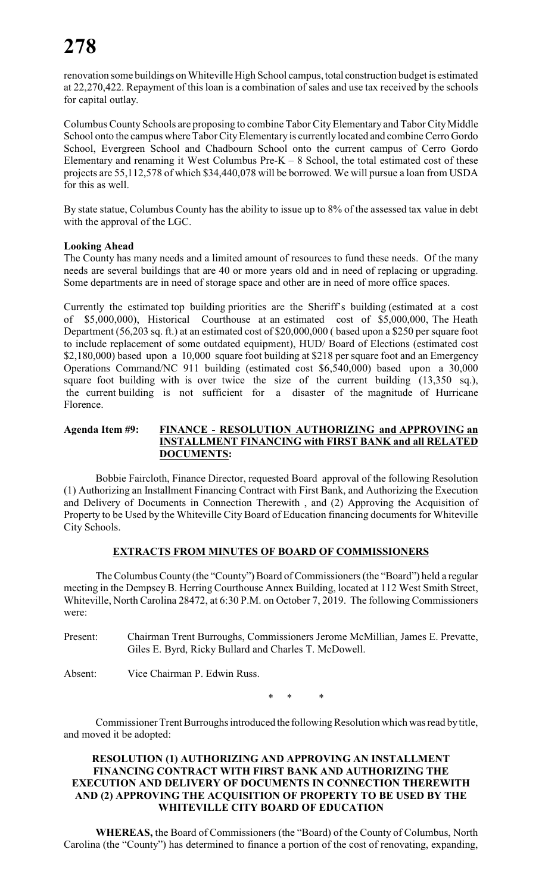# **278**

renovation some buildings on Whiteville High School campus, total construction budget is estimated at 22,270,422. Repayment of this loan is a combination of sales and use tax received by the schools for capital outlay.

Columbus County Schools are proposing to combine Tabor City Elementary and Tabor City Middle School onto the campus where Tabor City Elementary is currently located and combine Cerro Gordo School, Evergreen School and Chadbourn School onto the current campus of Cerro Gordo Elementary and renaming it West Columbus Pre- $K - 8$  School, the total estimated cost of these projects are 55,112,578 of which \$34,440,078 will be borrowed. We will pursue a loan from USDA for this as well.

By state statue, Columbus County has the ability to issue up to 8% of the assessed tax value in debt with the approval of the LGC.

## **Looking Ahead**

The County has many needs and a limited amount of resources to fund these needs. Of the many needs are several buildings that are 40 or more years old and in need of replacing or upgrading. Some departments are in need of storage space and other are in need of more office spaces.

Currently the estimated top building priorities are the Sheriff's building (estimated at a cost of \$5,000,000), Historical Courthouse at an estimated cost of \$5,000,000, The Heath Department (56,203 sq. ft.) at an estimated cost of \$20,000,000 ( based upon a \$250 per square foot to include replacement of some outdated equipment), HUD/ Board of Elections (estimated cost \$2,180,000) based upon a 10,000 square foot building at \$218 per square foot and an Emergency Operations Command/NC 911 building (estimated cost \$6,540,000) based upon a 30,000 square foot building with is over twice the size of the current building (13,350 sq.), the current building is not sufficient for a disaster of the magnitude of Hurricane Florence.

#### **Agenda Item #9: FINANCE - RESOLUTION AUTHORIZING and APPROVING an INSTALLMENT FINANCING with FIRST BANK and all RELATED DOCUMENTS:**

Bobbie Faircloth, Finance Director, requested Board approval of the following Resolution (1) Authorizing an Installment Financing Contract with First Bank, and Authorizing the Execution and Delivery of Documents in Connection Therewith , and (2) Approving the Acquisition of Property to be Used by the Whiteville City Board of Education financing documents for Whiteville City Schools.

#### **EXTRACTS FROM MINUTES OF BOARD OF COMMISSIONERS**

The Columbus County (the "County") Board of Commissioners (the "Board") held a regular meeting in the Dempsey B. Herring Courthouse Annex Building, located at 112 West Smith Street, Whiteville, North Carolina 28472, at 6:30 P.M. on October 7, 2019. The following Commissioners were:

Present: Chairman Trent Burroughs, Commissioners Jerome McMillian, James E. Prevatte, Giles E. Byrd, Ricky Bullard and Charles T. McDowell.

Absent: Vice Chairman P. Edwin Russ.

\* \* \*

Commissioner Trent Burroughs introduced the following Resolution which was read by title, and moved it be adopted:

### **RESOLUTION (1) AUTHORIZING AND APPROVING AN INSTALLMENT FINANCING CONTRACT WITH FIRST BANK AND AUTHORIZING THE EXECUTION AND DELIVERY OF DOCUMENTS IN CONNECTION THEREWITH AND (2) APPROVING THE ACQUISITION OF PROPERTY TO BE USED BY THE WHITEVILLE CITY BOARD OF EDUCATION**

**WHEREAS,** the Board of Commissioners (the "Board) of the County of Columbus, North Carolina (the "County") has determined to finance a portion of the cost of renovating, expanding,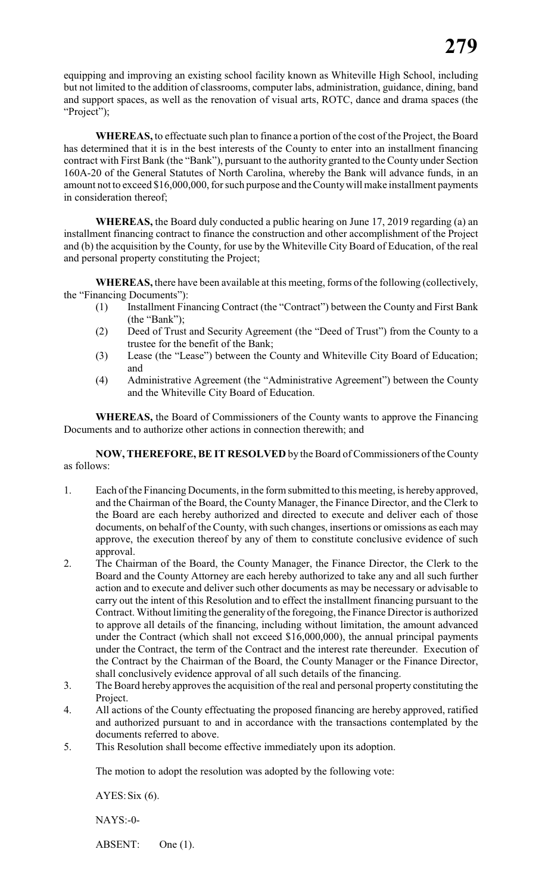equipping and improving an existing school facility known as Whiteville High School, including but not limited to the addition of classrooms, computer labs, administration, guidance, dining, band and support spaces, as well as the renovation of visual arts, ROTC, dance and drama spaces (the "Project");

**WHEREAS,** to effectuate such plan to finance a portion of the cost of the Project, the Board has determined that it is in the best interests of the County to enter into an installment financing contract with First Bank (the "Bank"), pursuant to the authority granted to the County under Section 160A-20 of the General Statutes of North Carolina, whereby the Bank will advance funds, in an amount not to exceed \$16,000,000, for such purpose and the County will make installment payments in consideration thereof;

**WHEREAS,** the Board duly conducted a public hearing on June 17, 2019 regarding (a) an installment financing contract to finance the construction and other accomplishment of the Project and (b) the acquisition by the County, for use by the Whiteville City Board of Education, of the real and personal property constituting the Project;

**WHEREAS,** there have been available at this meeting, forms of the following (collectively, the "Financing Documents"):

- (1) Installment Financing Contract (the "Contract") between the County and First Bank (the "Bank");
- (2) Deed of Trust and Security Agreement (the "Deed of Trust") from the County to a trustee for the benefit of the Bank;
- (3) Lease (the "Lease") between the County and Whiteville City Board of Education; and
- (4) Administrative Agreement (the "Administrative Agreement") between the County and the Whiteville City Board of Education.

**WHEREAS,** the Board of Commissioners of the County wants to approve the Financing Documents and to authorize other actions in connection therewith; and

**NOW, THEREFORE, BE IT RESOLVED** by the Board of Commissioners of the County as follows:

- 1. Each of the Financing Documents, in the form submitted to this meeting, is hereby approved, and the Chairman of the Board, the County Manager, the Finance Director, and the Clerk to the Board are each hereby authorized and directed to execute and deliver each of those documents, on behalf of the County, with such changes, insertions or omissions as each may approve, the execution thereof by any of them to constitute conclusive evidence of such approval.
- 2. The Chairman of the Board, the County Manager, the Finance Director, the Clerk to the Board and the County Attorney are each hereby authorized to take any and all such further action and to execute and deliver such other documents as may be necessary or advisable to carry out the intent of this Resolution and to effect the installment financing pursuant to the Contract. Without limiting the generality of the foregoing, the Finance Director is authorized to approve all details of the financing, including without limitation, the amount advanced under the Contract (which shall not exceed \$16,000,000), the annual principal payments under the Contract, the term of the Contract and the interest rate thereunder. Execution of the Contract by the Chairman of the Board, the County Manager or the Finance Director, shall conclusively evidence approval of all such details of the financing.
- 3. The Board hereby approves the acquisition of the real and personal property constituting the Project.
- 4. All actions of the County effectuating the proposed financing are hereby approved, ratified and authorized pursuant to and in accordance with the transactions contemplated by the documents referred to above.
- 5. This Resolution shall become effective immediately upon its adoption.

The motion to adopt the resolution was adopted by the following vote:

AYES:Six (6).

NAYS:-0-

ABSENT: One (1).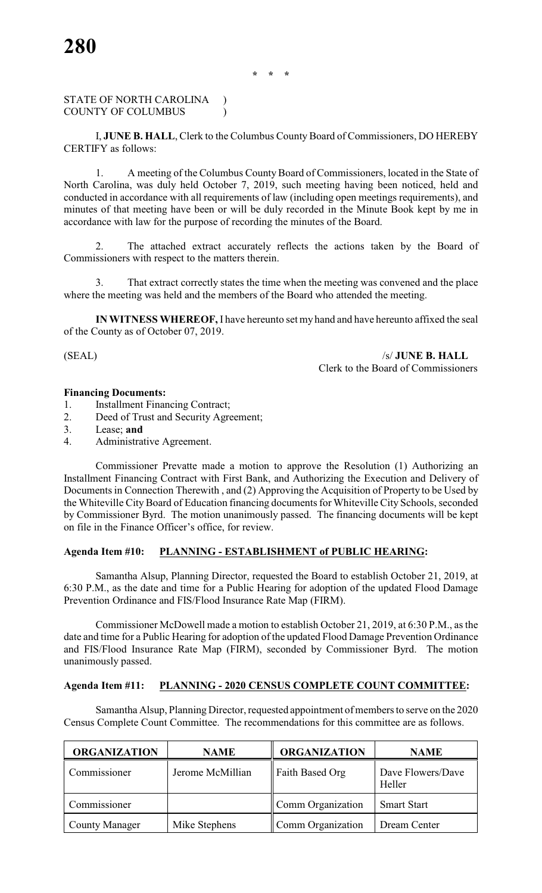## STATE OF NORTH CAROLINA ) COUNTY OF COLUMBUS (2002)

I, **JUNE B. HALL**, Clerk to the Columbus County Board of Commissioners, DO HEREBY CERTIFY as follows:

1. A meeting of the Columbus County Board of Commissioners, located in the State of North Carolina, was duly held October 7, 2019, such meeting having been noticed, held and conducted in accordance with all requirements of law (including open meetings requirements), and minutes of that meeting have been or will be duly recorded in the Minute Book kept by me in accordance with law for the purpose of recording the minutes of the Board.

2. The attached extract accurately reflects the actions taken by the Board of Commissioners with respect to the matters therein.

That extract correctly states the time when the meeting was convened and the place where the meeting was held and the members of the Board who attended the meeting.

**IN WITNESS WHEREOF,** I have hereunto set my hand and have hereunto affixed the seal of the County as of October 07, 2019.

(SEAL) /s/ **JUNE B. HALL** Clerk to the Board of Commissioners

#### **Financing Documents:**

1. Installment Financing Contract;

- 2. Deed of Trust and Security Agreement;
- 3. Lease; **and**
- 4. Administrative Agreement.

Commissioner Prevatte made a motion to approve the Resolution (1) Authorizing an Installment Financing Contract with First Bank, and Authorizing the Execution and Delivery of Documents in Connection Therewith , and (2) Approving the Acquisition of Property to be Used by the Whiteville City Board of Education financing documents for Whiteville City Schools, seconded by Commissioner Byrd. The motion unanimously passed. The financing documents will be kept on file in the Finance Officer's office, for review.

### **Agenda Item #10: PLANNING - ESTABLISHMENT of PUBLIC HEARING:**

Samantha Alsup, Planning Director, requested the Board to establish October 21, 2019, at 6:30 P.M., as the date and time for a Public Hearing for adoption of the updated Flood Damage Prevention Ordinance and FIS/Flood Insurance Rate Map (FIRM).

Commissioner McDowell made a motion to establish October 21, 2019, at 6:30 P.M., as the date and time for a Public Hearing for adoption of the updated Flood Damage Prevention Ordinance and FIS/Flood Insurance Rate Map (FIRM), seconded by Commissioner Byrd. The motion unanimously passed.

#### **Agenda Item #11: PLANNING - 2020 CENSUS COMPLETE COUNT COMMITTEE:**

Samantha Alsup, Planning Director, requested appointment of members to serve on the 2020 Census Complete Count Committee. The recommendations for this committee are as follows.

| <b>ORGANIZATION</b>   | <b>NAME</b>      | <b>ORGANIZATION</b> | <b>NAME</b>                 |
|-----------------------|------------------|---------------------|-----------------------------|
| Commissioner          | Jerome McMillian | Faith Based Org     | Dave Flowers/Dave<br>Heller |
| Commissioner          |                  | Comm Organization   | <b>Smart Start</b>          |
| <b>County Manager</b> | Mike Stephens    | Comm Organization   | Dream Center                |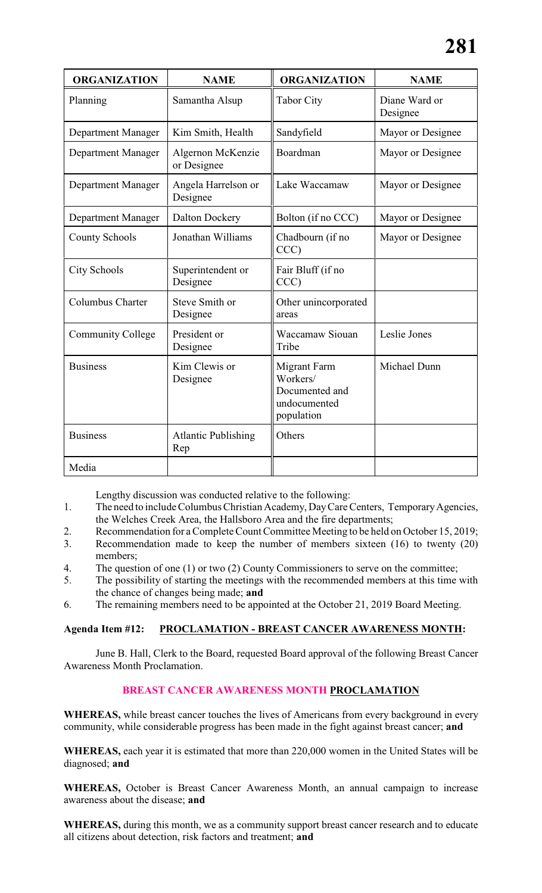| <b>ORGANIZATION</b>       | <b>NAME</b>                       | <b>ORGANIZATION</b>                                                             | <b>NAME</b>               |
|---------------------------|-----------------------------------|---------------------------------------------------------------------------------|---------------------------|
| Planning                  | Samantha Alsup                    | <b>Tabor City</b>                                                               | Diane Ward or<br>Designee |
| <b>Department Manager</b> | Kim Smith, Health                 | Sandyfield                                                                      | Mayor or Designee         |
| Department Manager        | Algernon McKenzie<br>or Designee  | Boardman                                                                        | Mayor or Designee         |
| <b>Department Manager</b> | Angela Harrelson or<br>Designee   | Lake Waccamaw                                                                   | Mayor or Designee         |
| <b>Department Manager</b> | <b>Dalton Dockery</b>             | Bolton (if no CCC)                                                              | Mayor or Designee         |
| <b>County Schools</b>     | Jonathan Williams                 | Chadbourn (if no<br>CCC)                                                        | Mayor or Designee         |
| <b>City Schools</b>       | Superintendent or<br>Designee     | Fair Bluff (if no<br>CCC)                                                       |                           |
| Columbus Charter          | Steve Smith or<br>Designee        | Other unincorporated<br>areas                                                   |                           |
| <b>Community College</b>  | President or<br>Designee          | <b>Waccamaw Siouan</b><br>Tribe                                                 | Leslie Jones              |
| <b>Business</b>           | Kim Clewis or<br>Designee         | <b>Migrant Farm</b><br>Workers/<br>Documented and<br>undocumented<br>population | Michael Dunn              |
| <b>Business</b>           | <b>Atlantic Publishing</b><br>Rep | Others                                                                          |                           |
| Media                     |                                   |                                                                                 |                           |

Lengthy discussion was conducted relative to the following:

- 1. The need to include Columbus Christian Academy, DayCareCenters, Temporary Agencies, the Welches Creek Area, the Hallsboro Area and the fire departments;
- 2. Recommendation for a Complete Count Committee Meeting to be held on October 15, 2019;
- 3. Recommendation made to keep the number of members sixteen (16) to twenty (20) members;
- 4. The question of one (1) or two (2) County Commissioners to serve on the committee;
- 5. The possibility of starting the meetings with the recommended members at this time with the chance of changes being made; **and**
- 6. The remaining members need to be appointed at the October 21, 2019 Board Meeting.

#### **Agenda Item #12: PROCLAMATION - BREAST CANCER AWARENESS MONTH:**

June B. Hall, Clerk to the Board, requested Board approval of the following Breast Cancer Awareness Month Proclamation.

# **BREAST CANCER AWARENESS MONTH PROCLAMATION**

**WHEREAS,** while breast cancer touches the lives of Americans from every background in every community, while considerable progress has been made in the fight against breast cancer; **and**

**WHEREAS,** each year it is estimated that more than 220,000 women in the United States will be diagnosed; **and**

**WHEREAS,** October is Breast Cancer Awareness Month, an annual campaign to increase awareness about the disease; **and**

**WHEREAS,** during this month, we as a community support breast cancer research and to educate all citizens about detection, risk factors and treatment; **and**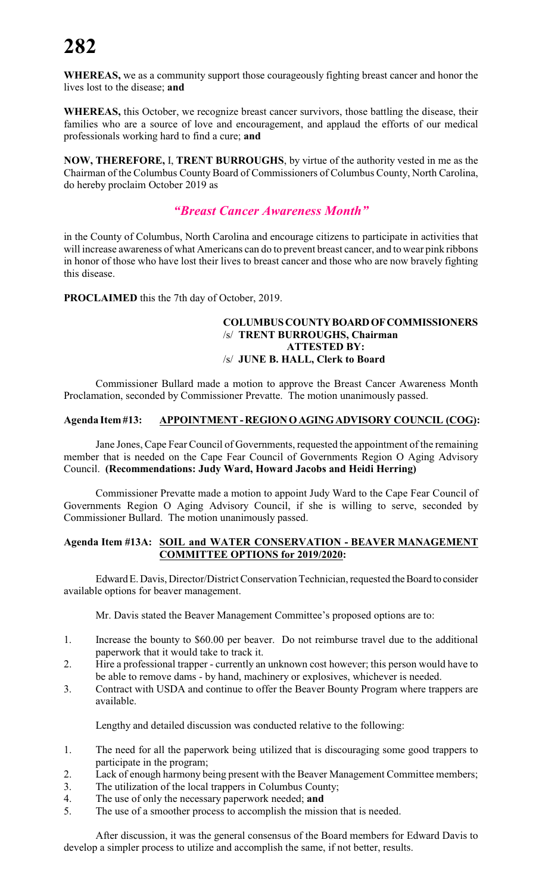# **282**

**WHEREAS,** we as a community support those courageously fighting breast cancer and honor the lives lost to the disease; **and**

**WHEREAS,** this October, we recognize breast cancer survivors, those battling the disease, their families who are a source of love and encouragement, and applaud the efforts of our medical professionals working hard to find a cure; **and**

**NOW, THEREFORE,** I, **TRENT BURROUGHS**, by virtue of the authority vested in me as the Chairman of the Columbus County Board of Commissioners of Columbus County, North Carolina, do hereby proclaim October 2019 as

# *"Breast Cancer Awareness Month"*

in the County of Columbus, North Carolina and encourage citizens to participate in activities that will increase awareness of what Americans can do to prevent breast cancer, and to wear pink ribbons in honor of those who have lost their lives to breast cancer and those who are now bravely fighting this disease.

**PROCLAIMED** this the 7th day of October, 2019.

#### **COLUMBUS COUNTY BOARD OF COMMISSIONERS** /s/ **TRENT BURROUGHS, Chairman ATTESTED BY:** /s/ **JUNE B. HALL, Clerk to Board**

Commissioner Bullard made a motion to approve the Breast Cancer Awareness Month Proclamation, seconded by Commissioner Prevatte. The motion unanimously passed.

# **Agenda Item #13: APPOINTMENT - REGION O AGING ADVISORY COUNCIL (COG):**

Jane Jones, Cape Fear Council of Governments, requested the appointment of the remaining member that is needed on the Cape Fear Council of Governments Region O Aging Advisory Council. **(Recommendations: Judy Ward, Howard Jacobs and Heidi Herring)**

Commissioner Prevatte made a motion to appoint Judy Ward to the Cape Fear Council of Governments Region O Aging Advisory Council, if she is willing to serve, seconded by Commissioner Bullard. The motion unanimously passed.

#### **Agenda Item #13A: SOIL and WATER CONSERVATION - BEAVER MANAGEMENT COMMITTEE OPTIONS for 2019/2020:**

Edward E. Davis, Director/District Conservation Technician, requested the Board to consider available options for beaver management.

Mr. Davis stated the Beaver Management Committee's proposed options are to:

- 1. Increase the bounty to \$60.00 per beaver. Do not reimburse travel due to the additional paperwork that it would take to track it.
- 2. Hire a professional trapper currently an unknown cost however; this person would have to be able to remove dams - by hand, machinery or explosives, whichever is needed.
- 3. Contract with USDA and continue to offer the Beaver Bounty Program where trappers are available.

Lengthy and detailed discussion was conducted relative to the following:

- 1. The need for all the paperwork being utilized that is discouraging some good trappers to participate in the program;
- 2. Lack of enough harmony being present with the Beaver Management Committee members;
- 3. The utilization of the local trappers in Columbus County;
- 4. The use of only the necessary paperwork needed; **and**
- 5. The use of a smoother process to accomplish the mission that is needed.

After discussion, it was the general consensus of the Board members for Edward Davis to develop a simpler process to utilize and accomplish the same, if not better, results.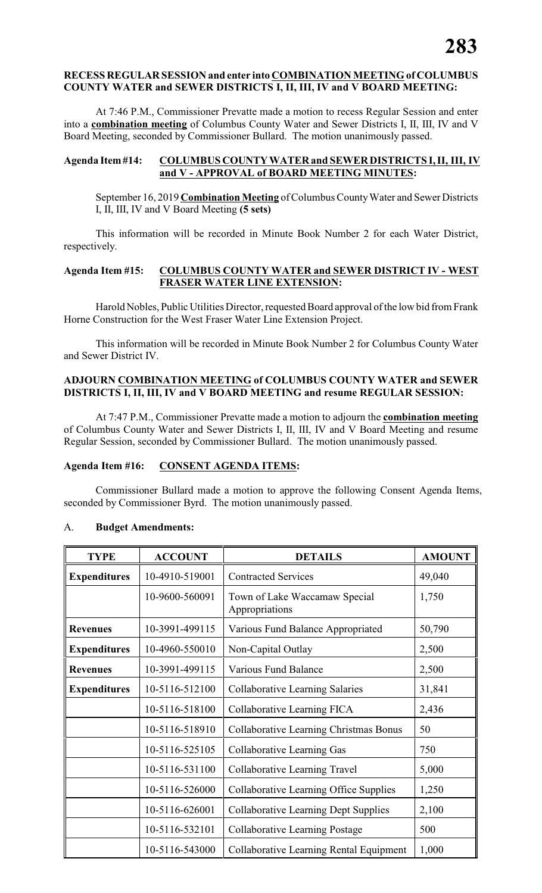#### **RECESS REGULAR SESSION and enter into COMBINATION MEETING of COLUMBUS COUNTY WATER and SEWER DISTRICTS I, II, III, IV and V BOARD MEETING:**

At 7:46 P.M., Commissioner Prevatte made a motion to recess Regular Session and enter into a **combination meeting** of Columbus County Water and Sewer Districts I, II, III, IV and V Board Meeting, seconded by Commissioner Bullard. The motion unanimously passed.

#### **Agenda Item #14: COLUMBUS COUNTY WATER and SEWER DISTRICTS I, II, III, IV and V - APPROVAL of BOARD MEETING MINUTES:**

September 16, 2019 **Combination Meeting** of Columbus CountyWater and Sewer Districts I, II, III, IV and V Board Meeting **(5 sets)**

This information will be recorded in Minute Book Number 2 for each Water District, respectively.

#### **Agenda Item #15: COLUMBUS COUNTY WATER and SEWER DISTRICT IV - WEST FRASER WATER LINE EXTENSION:**

Harold Nobles, Public Utilities Director, requested Board approval of the low bid from Frank Horne Construction for the West Fraser Water Line Extension Project.

This information will be recorded in Minute Book Number 2 for Columbus County Water and Sewer District IV.

#### **ADJOURN COMBINATION MEETING of COLUMBUS COUNTY WATER and SEWER DISTRICTS I, II, III, IV and V BOARD MEETING and resume REGULAR SESSION:**

At 7:47 P.M., Commissioner Prevatte made a motion to adjourn the **combination meeting** of Columbus County Water and Sewer Districts I, II, III, IV and V Board Meeting and resume Regular Session, seconded by Commissioner Bullard. The motion unanimously passed.

#### **Agenda Item #16: CONSENT AGENDA ITEMS:**

Commissioner Bullard made a motion to approve the following Consent Agenda Items, seconded by Commissioner Byrd. The motion unanimously passed.

#### A. **Budget Amendments:**

| <b>TYPE</b>         | <b>ACCOUNT</b> | <b>DETAILS</b>                                       | <b>AMOUNT</b> |
|---------------------|----------------|------------------------------------------------------|---------------|
| <b>Expenditures</b> | 10-4910-519001 | <b>Contracted Services</b>                           | 49,040        |
|                     | 10-9600-560091 | Town of Lake Waccamaw Special<br>Appropriations      | 1,750         |
| <b>Revenues</b>     | 10-3991-499115 | Various Fund Balance Appropriated                    | 50,790        |
| <b>Expenditures</b> | 10-4960-550010 | Non-Capital Outlay                                   | 2,500         |
| <b>Revenues</b>     | 10-3991-499115 | <b>Various Fund Balance</b>                          | 2,500         |
| <b>Expenditures</b> | 10-5116-512100 | 31,841<br><b>Collaborative Learning Salaries</b>     |               |
|                     | 10-5116-518100 | Collaborative Learning FICA<br>2,436                 |               |
|                     | 10-5116-518910 | <b>Collaborative Learning Christmas Bonus</b><br>50  |               |
|                     | 10-5116-525105 | Collaborative Learning Gas                           | 750           |
|                     | 10-5116-531100 | Collaborative Learning Travel                        | 5,000         |
|                     | 10-5116-526000 | Collaborative Learning Office Supplies<br>1,250      |               |
|                     | 10-5116-626001 | <b>Collaborative Learning Dept Supplies</b><br>2,100 |               |
|                     | 10-5116-532101 | <b>Collaborative Learning Postage</b><br>500         |               |
|                     | 10-5116-543000 | Collaborative Learning Rental Equipment              | 1,000         |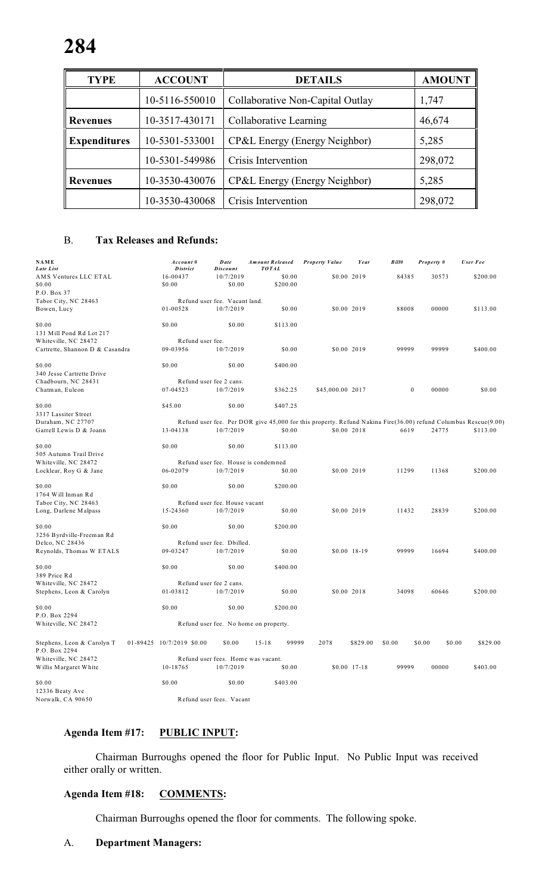| <b>TYPE</b>         | <b>ACCOUNT</b> | <b>DETAILS</b>                   | <b>AMOUNT</b> |
|---------------------|----------------|----------------------------------|---------------|
|                     | 10-5116-550010 | Collaborative Non-Capital Outlay | 1,747         |
| <b>Revenues</b>     | 10-3517-430171 | Collaborative Learning           | 46,674        |
| <b>Expenditures</b> | 10-5301-533001 | CP&L Energy (Energy Neighbor)    | 5,285         |
|                     | 10-5301-549986 | Crisis Intervention              | 298,072       |
| <b>Revenues</b>     | 10-3530-430076 | CP&L Energy (Energy Neighbor)    | 5,285         |
|                     | 10-3530-430068 | Crisis Intervention              | 298,072       |

# B. **Tax Releases and Refunds:**

| <b>NAME</b><br>Late List        | Account#<br><b>District</b> | <b>D</b> ate<br><b>Discount</b>    | <b>Amount Released</b><br><b>TOTAL</b> | <b>Property Value</b>                                                                                          | Year         | Bill#        | Property #       | User Fee |
|---------------------------------|-----------------------------|------------------------------------|----------------------------------------|----------------------------------------------------------------------------------------------------------------|--------------|--------------|------------------|----------|
| AMS Ventures LLC ETAL           | 16-00437                    | 10/7/2019                          | \$0.00                                 | \$0.00 2019                                                                                                    |              | 84385        | 30573            | \$200.00 |
| \$0.00                          | \$0.00                      | \$0.00                             | \$200.00                               |                                                                                                                |              |              |                  |          |
| P.O. Box 37                     |                             |                                    |                                        |                                                                                                                |              |              |                  |          |
| Tabor City, NC 28463            |                             | Refund user fee. Vacant land.      |                                        |                                                                                                                |              |              |                  |          |
| Bowen, Lucy                     | 01-00528                    | 10/7/2019                          | \$0.00                                 | \$0.00 2019                                                                                                    |              | 88008        | 00000            | \$113.00 |
|                                 |                             |                                    |                                        |                                                                                                                |              |              |                  |          |
| \$0.00                          | \$0.00                      | \$0.00                             | \$113.00                               |                                                                                                                |              |              |                  |          |
| 131 Mill Pond Rd Lot 217        |                             |                                    |                                        |                                                                                                                |              |              |                  |          |
| Whiteville, NC 28472            | Refund user fee.            |                                    |                                        |                                                                                                                |              |              |                  |          |
| Cartrette, Shannon D & Casandra | 09-03956                    | 10/7/2019                          | \$0.00                                 |                                                                                                                | \$0.00 2019  | 99999        | 99999            | \$400.00 |
|                                 |                             |                                    |                                        |                                                                                                                |              |              |                  |          |
| \$0.00                          | \$0.00                      | \$0.00                             | \$400.00                               |                                                                                                                |              |              |                  |          |
| 340 Jesse Cartrette Drive       |                             |                                    |                                        |                                                                                                                |              |              |                  |          |
| Chadbourn, NC 28431             |                             | Refund user fee 2 cans.            |                                        |                                                                                                                |              |              |                  |          |
| Chatman, Euleon                 | 07-04523                    | 10/7/2019                          | \$362.25                               | \$45,000.00 2017                                                                                               |              | $\mathbf{0}$ | 00000            | \$0.00   |
| \$0.00                          | \$45.00                     | \$0.00                             | \$407.25                               |                                                                                                                |              |              |                  |          |
| 3317 Lassiter Street            |                             |                                    |                                        |                                                                                                                |              |              |                  |          |
| Duraham, NC 27707               |                             |                                    |                                        | Refund user fee. Per DOR give 45,000 for this property. Refund Nakina Fire(36.00) refund Columbus Rescue(9.00) |              |              |                  |          |
| Garrell Lewis D & Joann         | 13-04138                    | 10/7/2019                          | \$0.00                                 | \$0.00 2018                                                                                                    |              | 6619         | 24775            | \$113.00 |
|                                 |                             |                                    |                                        |                                                                                                                |              |              |                  |          |
| \$0.00                          | \$0.00                      | \$0.00                             | \$113.00                               |                                                                                                                |              |              |                  |          |
| 505 Autumn Trail Drive          |                             |                                    |                                        |                                                                                                                |              |              |                  |          |
| Whiteville, NC 28472            |                             |                                    | Refund user fee. House is condemned    |                                                                                                                |              |              |                  |          |
| Locklear, Roy G & Jane          | 06-02079                    | 10/7/2019                          | \$0.00                                 | \$0.00 2019                                                                                                    |              | 11299        | 11368            | \$200.00 |
| \$0.00                          | \$0.00                      | \$0.00                             | \$200.00                               |                                                                                                                |              |              |                  |          |
| 1764 Will Inman Rd              |                             |                                    |                                        |                                                                                                                |              |              |                  |          |
| Tabor City, NC 28463            |                             | Refund user fee. House vacant      |                                        |                                                                                                                |              |              |                  |          |
| Long, Darlene Malpass           | 15-24360                    | 10/7/2019                          | \$0.00                                 | \$0.00 2019                                                                                                    |              | 11432        | 28839            | \$200.00 |
|                                 |                             |                                    |                                        |                                                                                                                |              |              |                  |          |
| \$0.00                          | \$0.00                      | \$0.00                             | \$200.00                               |                                                                                                                |              |              |                  |          |
| 3256 Byrdville-Freeman Rd       |                             |                                    |                                        |                                                                                                                |              |              |                  |          |
| Delco, NC 28436                 |                             | Refund user fee. Dbilled.          |                                        |                                                                                                                |              |              |                  |          |
| Reynolds, Thomas W ETALS        | 09-03247                    | 10/7/2019                          | \$0.00                                 |                                                                                                                | \$0.00 18-19 | 99999        | 16694            | \$400.00 |
| \$0.00                          | \$0.00                      | \$0.00                             | \$400.00                               |                                                                                                                |              |              |                  |          |
| 389 Price Rd                    |                             |                                    |                                        |                                                                                                                |              |              |                  |          |
| Whiteville, NC 28472            |                             | Refund user fee 2 cans.            |                                        |                                                                                                                |              |              |                  |          |
| Stephens, Leon & Carolyn        | 01-03812                    | 10/7/2019                          | \$0.00                                 | \$0.00 2018                                                                                                    |              | 34098        | 60646            | \$200.00 |
|                                 |                             |                                    |                                        |                                                                                                                |              |              |                  |          |
| \$0.00                          | \$0.00                      | \$0.00                             | \$200.00                               |                                                                                                                |              |              |                  |          |
| P.O. Box 2294                   |                             |                                    |                                        |                                                                                                                |              |              |                  |          |
| Whiteville, NC 28472            |                             |                                    | Refund user fee. No home on property.  |                                                                                                                |              |              |                  |          |
|                                 |                             |                                    |                                        |                                                                                                                |              |              |                  |          |
| Stephens, Leon & Carolyn T      | 01-89425 10/7/2019 \$0.00   | \$0.00                             | 99999<br>$15 - 18$                     | 2078                                                                                                           | \$829.00     | \$0.00       | \$0.00<br>\$0.00 | \$829.00 |
| P.O. Box 2294                   |                             |                                    |                                        |                                                                                                                |              |              |                  |          |
| Whiteville, NC 28472            |                             | Refund user fees. Home was vacant. |                                        |                                                                                                                |              |              |                  |          |
| Willis Margaret White           | 10-18765                    | 10/7/2019                          | \$0.00                                 |                                                                                                                | \$0.00 17-18 | 99999        | 00000            | \$403.00 |
|                                 |                             |                                    |                                        |                                                                                                                |              |              |                  |          |
| \$0.00                          | \$0.00                      | \$0.00                             | \$403.00                               |                                                                                                                |              |              |                  |          |
| 12336 Beaty Ave                 |                             |                                    |                                        |                                                                                                                |              |              |                  |          |
| Norwalk, CA 90650               |                             | Refund user fees. Vacant           |                                        |                                                                                                                |              |              |                  |          |

## **Agenda Item #17: PUBLIC INPUT:**

Chairman Burroughs opened the floor for Public Input. No Public Input was received either orally or written.

### **Agenda Item #18: COMMENTS:**

Chairman Burroughs opened the floor for comments. The following spoke.

### A. **Department Managers:**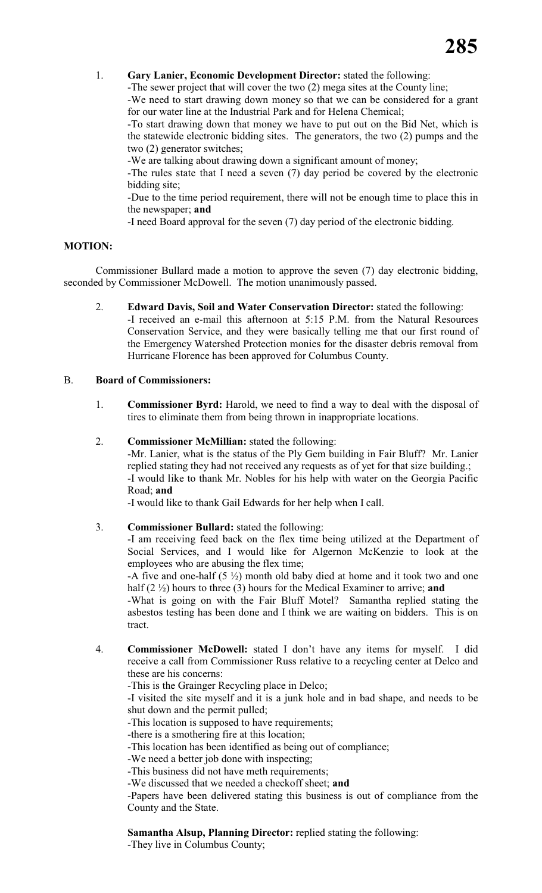#### 1. **Gary Lanier, Economic Development Director:** stated the following:

-The sewer project that will cover the two (2) mega sites at the County line; -We need to start drawing down money so that we can be considered for a grant

for our water line at the Industrial Park and for Helena Chemical;

-To start drawing down that money we have to put out on the Bid Net, which is the statewide electronic bidding sites. The generators, the two (2) pumps and the two (2) generator switches;

-We are talking about drawing down a significant amount of money;

-The rules state that I need a seven (7) day period be covered by the electronic bidding site;

-Due to the time period requirement, there will not be enough time to place this in the newspaper; **and**

-I need Board approval for the seven (7) day period of the electronic bidding.

#### **MOTION:**

Commissioner Bullard made a motion to approve the seven (7) day electronic bidding, seconded by Commissioner McDowell. The motion unanimously passed.

2. **Edward Davis, Soil and Water Conservation Director:** stated the following: -I received an e-mail this afternoon at 5:15 P.M. from the Natural Resources Conservation Service, and they were basically telling me that our first round of the Emergency Watershed Protection monies for the disaster debris removal from Hurricane Florence has been approved for Columbus County.

#### B. **Board of Commissioners:**

1. **Commissioner Byrd:** Harold, we need to find a way to deal with the disposal of tires to eliminate them from being thrown in inappropriate locations.

#### 2. **Commissioner McMillian:** stated the following:

-Mr. Lanier, what is the status of the Ply Gem building in Fair Bluff? Mr. Lanier replied stating they had not received any requests as of yet for that size building.; -I would like to thank Mr. Nobles for his help with water on the Georgia Pacific Road; **and**

-I would like to thank Gail Edwards for her help when I call.

3. **Commissioner Bullard:** stated the following:

-I am receiving feed back on the flex time being utilized at the Department of Social Services, and I would like for Algernon McKenzie to look at the employees who are abusing the flex time;

-A five and one-half  $(5 \frac{1}{2})$  month old baby died at home and it took two and one half (2 ½) hours to three (3) hours for the Medical Examiner to arrive; **and**

-What is going on with the Fair Bluff Motel? Samantha replied stating the asbestos testing has been done and I think we are waiting on bidders. This is on tract.

4. **Commissioner McDowell:** stated I don't have any items for myself. I did receive a call from Commissioner Russ relative to a recycling center at Delco and these are his concerns:

-This is the Grainger Recycling place in Delco;

-I visited the site myself and it is a junk hole and in bad shape, and needs to be shut down and the permit pulled;

-This location is supposed to have requirements;

-there is a smothering fire at this location;

-This location has been identified as being out of compliance;

-We need a better job done with inspecting;

-This business did not have meth requirements;

-We discussed that we needed a checkoff sheet; **and**

-Papers have been delivered stating this business is out of compliance from the County and the State.

#### **Samantha Alsup, Planning Director:** replied stating the following:

-They live in Columbus County;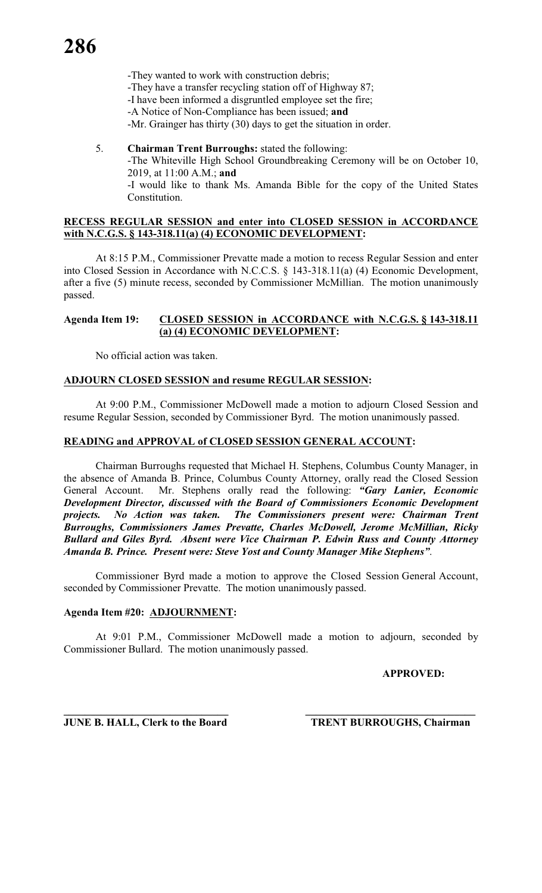-They wanted to work with construction debris; -They have a transfer recycling station off of Highway 87; -I have been informed a disgruntled employee set the fire; -A Notice of Non-Compliance has been issued; **and** -Mr. Grainger has thirty (30) days to get the situation in order.

5. **Chairman Trent Burroughs:** stated the following: -The Whiteville High School Groundbreaking Ceremony will be on October 10, 2019, at 11:00 A.M.; **and** -I would like to thank Ms. Amanda Bible for the copy of the United States

# **RECESS REGULAR SESSION and enter into CLOSED SESSION in ACCORDANCE with N.C.G.S. § 143-318.11(a) (4) ECONOMIC DEVELOPMENT:**

At 8:15 P.M., Commissioner Prevatte made a motion to recess Regular Session and enter into Closed Session in Accordance with N.C.C.S. § 143-318.11(a) (4) Economic Development, after a five (5) minute recess, seconded by Commissioner McMillian. The motion unanimously passed.

#### **Agenda Item 19: CLOSED SESSION in ACCORDANCE with N.C.G.S. § 143-318.11 (a) (4) ECONOMIC DEVELOPMENT:**

No official action was taken.

Constitution.

## **ADJOURN CLOSED SESSION and resume REGULAR SESSION:**

At 9:00 P.M., Commissioner McDowell made a motion to adjourn Closed Session and resume Regular Session, seconded by Commissioner Byrd. The motion unanimously passed.

## **READING and APPROVAL of CLOSED SESSION GENERAL ACCOUNT:**

Chairman Burroughs requested that Michael H. Stephens, Columbus County Manager, in the absence of Amanda B. Prince, Columbus County Attorney, orally read the Closed Session General Account. Mr. Stephens orally read the following: *"Gary Lanier, Economic Development Director, discussed with the Board of Commissioners Economic Development projects. No Action was taken. The Commissioners present were: Chairman Trent Burroughs, Commissioners James Prevatte, Charles McDowell, Jerome McMillian, Ricky Bullard and Giles Byrd. Absent were Vice Chairman P. Edwin Russ and County Attorney Amanda B. Prince. Present were: Steve Yost and County Manager Mike Stephens"*.

Commissioner Byrd made a motion to approve the Closed Session General Account, seconded by Commissioner Prevatte. The motion unanimously passed.

# **Agenda Item #20: ADJOURNMENT:**

At 9:01 P.M., Commissioner McDowell made a motion to adjourn, seconded by Commissioner Bullard. The motion unanimously passed.

#### **APPROVED:**

**\_\_\_\_\_\_\_\_\_\_\_\_\_\_\_\_\_\_\_\_\_\_\_\_\_\_\_\_\_\_\_ \_\_\_\_\_\_\_\_\_\_\_\_\_\_\_\_\_\_\_\_\_\_\_\_\_\_\_\_\_\_\_\_ JUNE B. HALL, Clerk to the Board TRENT BURROUGHS, Chairman**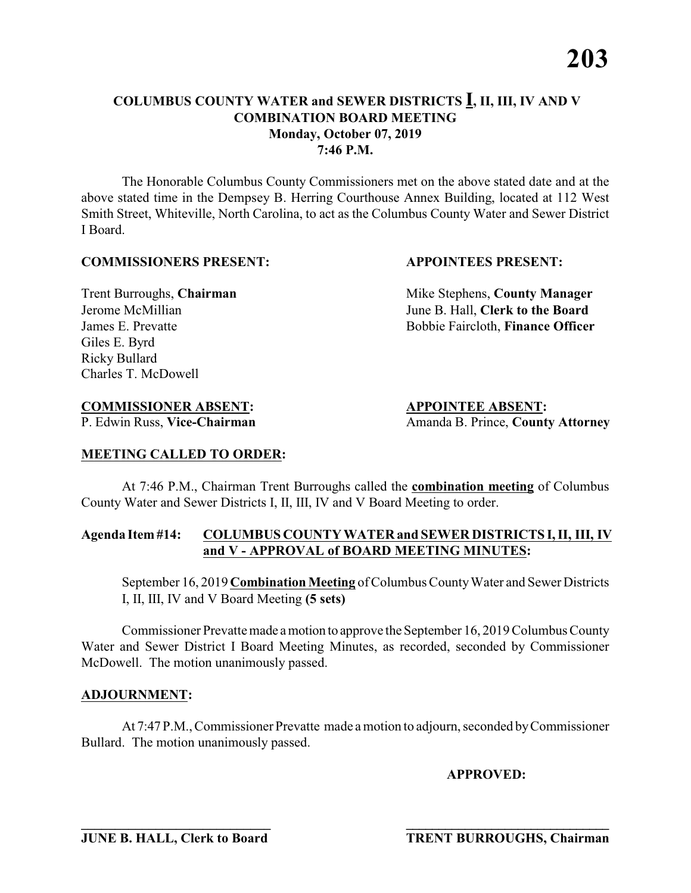The Honorable Columbus County Commissioners met on the above stated date and at the above stated time in the Dempsey B. Herring Courthouse Annex Building, located at 112 West Smith Street, Whiteville, North Carolina, to act as the Columbus County Water and Sewer District I Board.

#### **COMMISSIONERS PRESENT: APPOINTEES PRESENT:**

Giles E. Byrd Ricky Bullard Charles T. McDowell

**Trent Burroughs, Chairman** Mike Stephens, **County Manager** Jerome McMillian June B. Hall, **Clerk to the Board** James E. Prevatte Bobbie Faircloth, **Finance Officer**

# **COMMISSIONER ABSENT: APPOINTEE ABSENT:**

P. Edwin Russ, Vice-Chairman Amanda B. Prince, County Attorney

# **MEETING CALLED TO ORDER:**

At 7:46 P.M., Chairman Trent Burroughs called the **combination meeting** of Columbus County Water and Sewer Districts I, II, III, IV and V Board Meeting to order.

#### **Agenda Item #14: COLUMBUS COUNTY WATER and SEWER DISTRICTS I, II, III, IV and V - APPROVAL of BOARD MEETING MINUTES:**

September 16, 2019 **Combination Meeting** of Columbus County Water and Sewer Districts I, II, III, IV and V Board Meeting **(5 sets)**

Commissioner Prevatte made a motion to approve the September 16, 2019 Columbus County Water and Sewer District I Board Meeting Minutes, as recorded, seconded by Commissioner McDowell. The motion unanimously passed.

#### **ADJOURNMENT:**

At 7:47 P.M., Commissioner Prevatte made a motion to adjourn, seconded by Commissioner Bullard. The motion unanimously passed.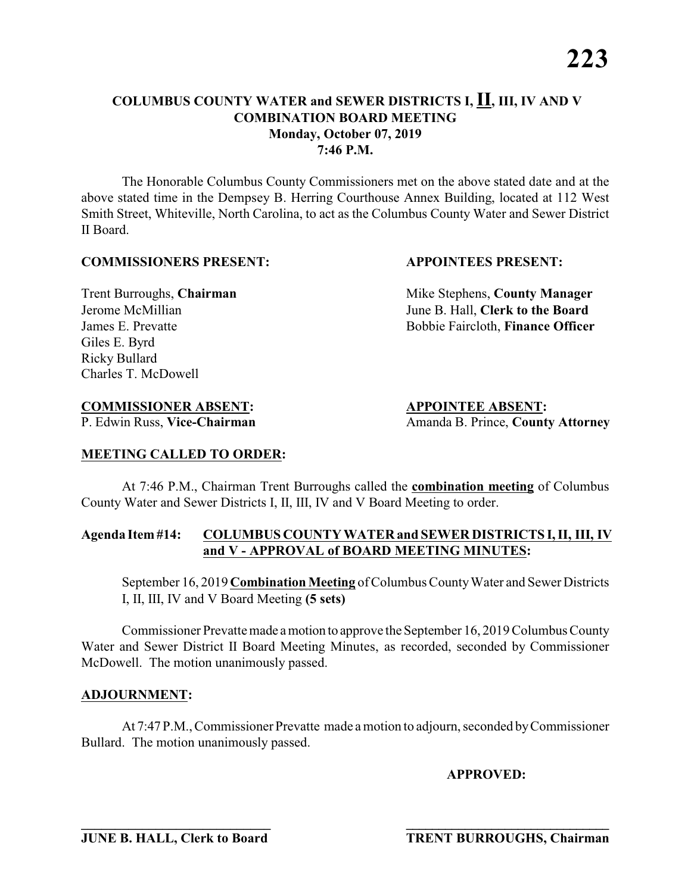The Honorable Columbus County Commissioners met on the above stated date and at the above stated time in the Dempsey B. Herring Courthouse Annex Building, located at 112 West Smith Street, Whiteville, North Carolina, to act as the Columbus County Water and Sewer District II Board.

#### **COMMISSIONERS PRESENT: APPOINTEES PRESENT:**

Giles E. Byrd Ricky Bullard Charles T. McDowell

**Trent Burroughs, Chairman** Mike Stephens, **County Manager** Jerome McMillian June B. Hall, **Clerk to the Board** James E. Prevatte Bobbie Faircloth, **Finance Officer**

# **COMMISSIONER ABSENT: APPOINTEE ABSENT:**

P. Edwin Russ, Vice-Chairman Amanda B. Prince, County Attorney

# **MEETING CALLED TO ORDER:**

At 7:46 P.M., Chairman Trent Burroughs called the **combination meeting** of Columbus County Water and Sewer Districts I, II, III, IV and V Board Meeting to order.

#### **Agenda Item #14: COLUMBUS COUNTY WATER and SEWER DISTRICTS I, II, III, IV and V - APPROVAL of BOARD MEETING MINUTES:**

September 16, 2019 **Combination Meeting** of Columbus County Water and Sewer Districts I, II, III, IV and V Board Meeting **(5 sets)**

Commissioner Prevatte made a motion to approve the September 16, 2019 Columbus County Water and Sewer District II Board Meeting Minutes, as recorded, seconded by Commissioner McDowell. The motion unanimously passed.

#### **ADJOURNMENT:**

At 7:47 P.M., Commissioner Prevatte made a motion to adjourn, seconded by Commissioner Bullard. The motion unanimously passed.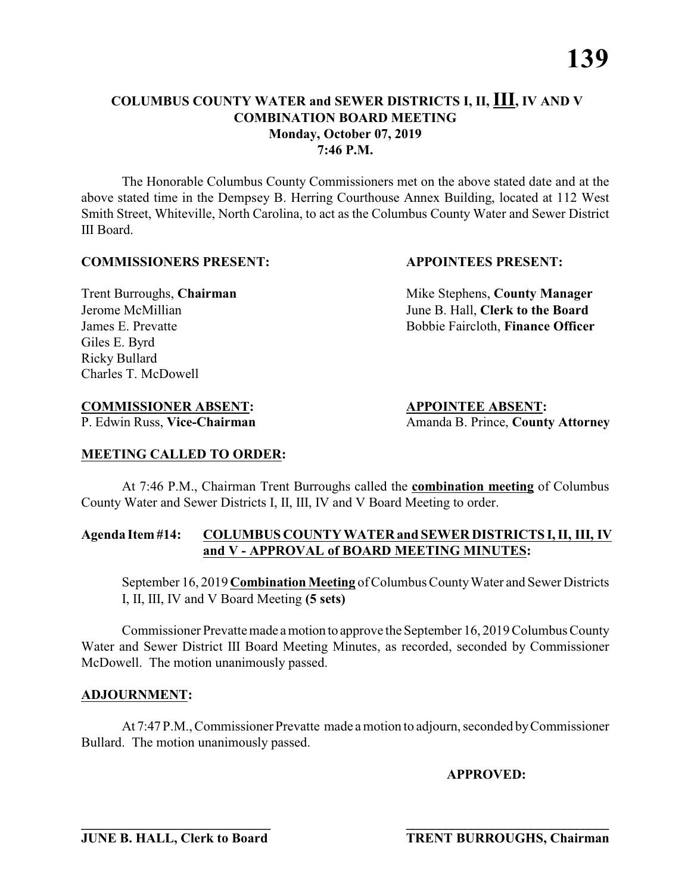The Honorable Columbus County Commissioners met on the above stated date and at the above stated time in the Dempsey B. Herring Courthouse Annex Building, located at 112 West Smith Street, Whiteville, North Carolina, to act as the Columbus County Water and Sewer District III Board.

#### **COMMISSIONERS PRESENT: APPOINTEES PRESENT:**

Giles E. Byrd Ricky Bullard Charles T. McDowell

**Trent Burroughs, Chairman** Mike Stephens, **County Manager** Jerome McMillian June B. Hall, **Clerk to the Board** James E. Prevatte Bobbie Faircloth, **Finance Officer**

# **COMMISSIONER ABSENT: APPOINTEE ABSENT:**

P. Edwin Russ, Vice-Chairman Amanda B. Prince, County Attorney

# **MEETING CALLED TO ORDER:**

At 7:46 P.M., Chairman Trent Burroughs called the **combination meeting** of Columbus County Water and Sewer Districts I, II, III, IV and V Board Meeting to order.

#### **Agenda Item #14: COLUMBUS COUNTY WATER and SEWER DISTRICTS I, II, III, IV and V - APPROVAL of BOARD MEETING MINUTES:**

September 16, 2019 **Combination Meeting** of Columbus County Water and Sewer Districts I, II, III, IV and V Board Meeting **(5 sets)**

Commissioner Prevatte made a motion to approve the September 16, 2019 Columbus County Water and Sewer District III Board Meeting Minutes, as recorded, seconded by Commissioner McDowell. The motion unanimously passed.

#### **ADJOURNMENT:**

At 7:47 P.M., Commissioner Prevatte made a motion to adjourn, seconded by Commissioner Bullard. The motion unanimously passed.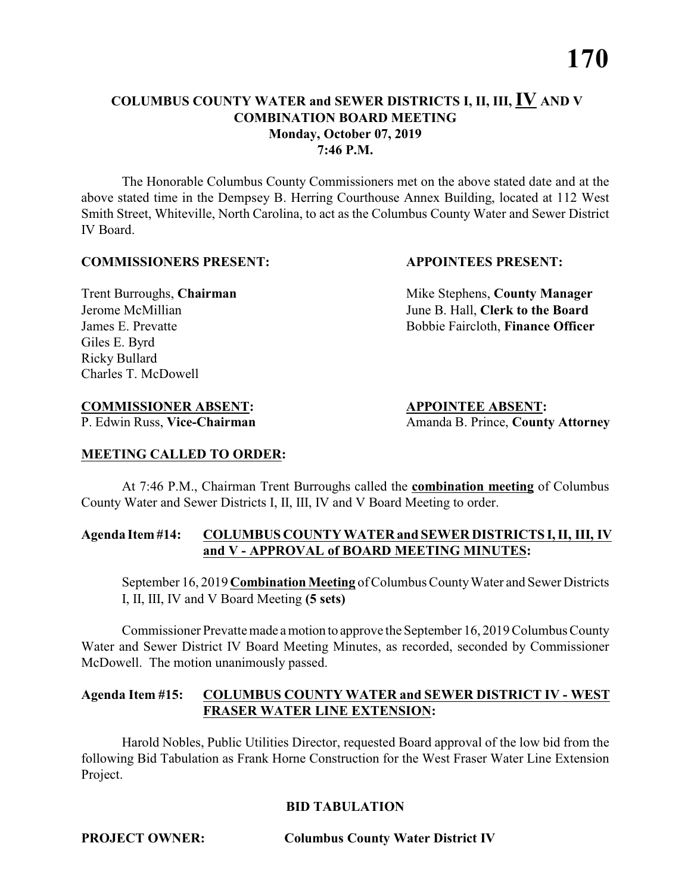The Honorable Columbus County Commissioners met on the above stated date and at the above stated time in the Dempsey B. Herring Courthouse Annex Building, located at 112 West Smith Street, Whiteville, North Carolina, to act as the Columbus County Water and Sewer District IV Board.

#### **COMMISSIONERS PRESENT: APPOINTEES PRESENT:**

Giles E. Byrd Ricky Bullard Charles T. McDowell

**Trent Burroughs, Chairman** Mike Stephens, **County Manager** Jerome McMillian June B. Hall, **Clerk to the Board** James E. Prevatte Bobbie Faircloth, **Finance Officer**

# **COMMISSIONER ABSENT: APPOINTEE ABSENT:**

P. Edwin Russ, Vice-Chairman Amanda B. Prince, County Attorney

#### **MEETING CALLED TO ORDER:**

At 7:46 P.M., Chairman Trent Burroughs called the **combination meeting** of Columbus County Water and Sewer Districts I, II, III, IV and V Board Meeting to order.

#### **Agenda Item #14: COLUMBUS COUNTY WATER and SEWER DISTRICTS I, II, III, IV and V - APPROVAL of BOARD MEETING MINUTES:**

September 16, 2019 **Combination Meeting** of Columbus County Water and Sewer Districts I, II, III, IV and V Board Meeting **(5 sets)**

Commissioner Prevatte made a motion to approve the September 16, 2019 Columbus County Water and Sewer District IV Board Meeting Minutes, as recorded, seconded by Commissioner McDowell. The motion unanimously passed.

## **Agenda Item #15: COLUMBUS COUNTY WATER and SEWER DISTRICT IV - WEST FRASER WATER LINE EXTENSION:**

Harold Nobles, Public Utilities Director, requested Board approval of the low bid from the following Bid Tabulation as Frank Horne Construction for the West Fraser Water Line Extension Project.

# **BID TABULATION**

**PROJECT OWNER: Columbus County Water District IV**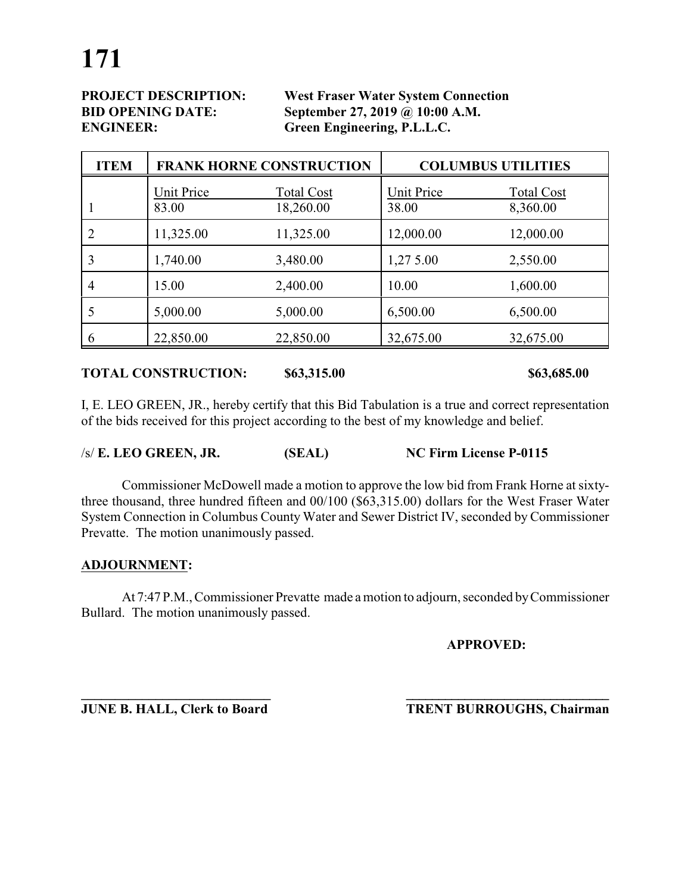**PROJECT DESCRIPTION: West Fraser Water System Connection BID OPENING DATE: September 27, 2019 @ 10:00 A.M. ENGINEER: Green Engineering, P.L.L.C.**

| <b>ITEM</b>    | <b>FRANK HORNE CONSTRUCTION</b> |                                | <b>COLUMBUS UTILITIES</b> |                               |
|----------------|---------------------------------|--------------------------------|---------------------------|-------------------------------|
|                | Unit Price<br>83.00             | <b>Total Cost</b><br>18,260.00 | Unit Price<br>38.00       | <b>Total Cost</b><br>8,360.00 |
|                | 11,325.00                       | 11,325.00                      | 12,000.00                 | 12,000.00                     |
| 3              | 1,740.00                        | 3,480.00                       | 1,27 5.00                 | 2,550.00                      |
| $\overline{4}$ | 15.00                           | 2,400.00                       | 10.00                     | 1,600.00                      |
|                | 5,000.00                        | 5,000.00                       | 6,500.00                  | 6,500.00                      |
| 6              | 22,850.00                       | 22,850.00                      | 32,675.00                 | 32,675.00                     |

#### **TOTAL CONSTRUCTION: \$63,315.00 \$63,685.00**

I, E. LEO GREEN, JR., hereby certify that this Bid Tabulation is a true and correct representation of the bids received for this project according to the best of my knowledge and belief.

| $/s/E$ . LEO GREEN, JR. | (SEAL) | NC Firm License P-0115 |
|-------------------------|--------|------------------------|
|-------------------------|--------|------------------------|

Commissioner McDowell made a motion to approve the low bid from Frank Horne at sixtythree thousand, three hundred fifteen and 00/100 (\$63,315.00) dollars for the West Fraser Water System Connection in Columbus County Water and Sewer District IV, seconded by Commissioner Prevatte. The motion unanimously passed.

#### **ADJOURNMENT:**

At 7:47 P.M., Commissioner Prevatte made a motion to adjourn, seconded by Commissioner Bullard. The motion unanimously passed.

**\_\_\_\_\_\_\_\_\_\_\_\_\_\_\_\_\_\_\_\_\_\_\_\_\_\_\_\_ \_\_\_\_\_\_\_\_\_\_\_\_\_\_\_\_\_\_\_\_\_\_\_\_\_\_\_\_\_\_\_**

**APPROVED:**

**JUNE B. HALL, Clerk to Board TRENT BURROUGHS, Chairman**